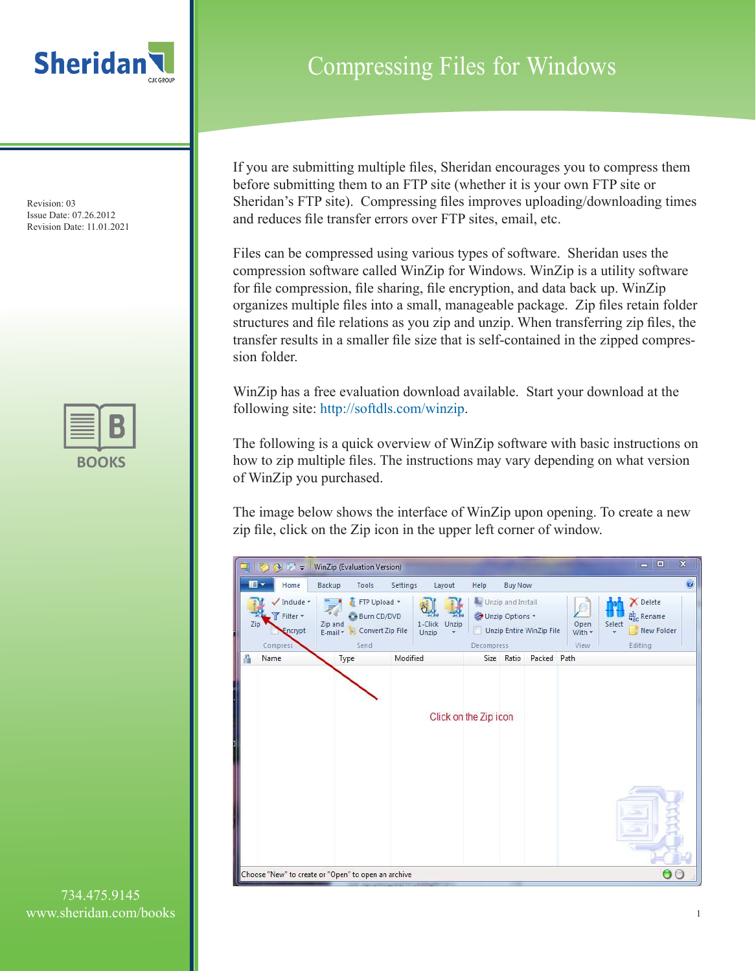

Revision: 03 Issue Date: 07.26.2012 Revision Date: 11.01.2021

| u.<br>a an |  |  |  |  |  |
|------------|--|--|--|--|--|

Compressing Files for Windows

If you are submitting multiple files, Sheridan encourages you to compress them before submitting them to an FTP site (whether it is your own FTP site or Sheridan's FTP site). Compressing files improves uploading/downloading times and reduces file transfer errors over FTP sites, email, etc.

Files can be compressed using various types of software. Sheridan uses the compression software called WinZip for Windows. WinZip is a utility software for file compression, file sharing, file encryption, and data back up. WinZip organizes multiple files into a small, manageable package. Zip files retain folder structures and file relations as you zip and unzip. When transferring zip files, the transfer results in a smaller file size that is self-contained in the zipped compression folder.

WinZip has a free evaluation download available. Start your download at the following site: http://softdls.com/winzip.

The following is a quick overview of WinZip software with basic instructions on how to zip multiple files. The instructions may vary depending on what version of WinZip you purchased.

The image below shows the interface of WinZip upon opening. To create a new zip file, click on the Zip icon in the upper left corner of window.



734.475.9145 www.sheridan.com/books